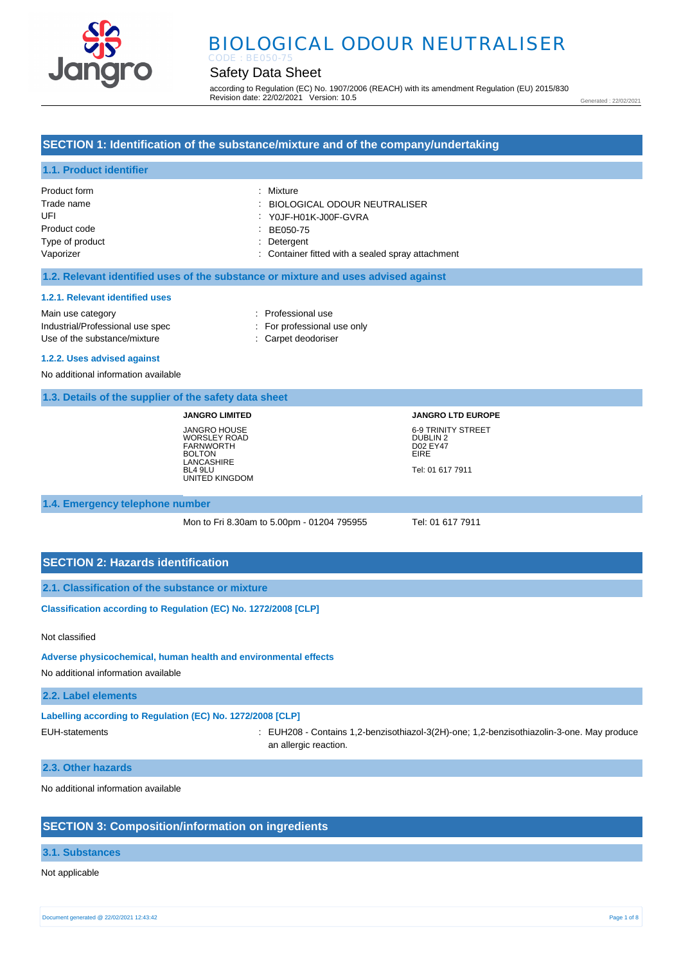

# BIOLOGICAL ODOUR NEUTRALISER

# Safety Data Sheet

according to Regulation (EC) No. 1907/2006 (REACH) with its amendment Regulation (EU) 2015/830 Revision date: 22/02/2021 Version: 10.5

Generated : 22/02/2021

# **SECTION 1: Identification of the substance/mixture and of the company/undertaking**

# **1.1. Product identifier**

| Product form    | : Mixture                                         |
|-----------------|---------------------------------------------------|
| Trade name      | : BIOLOGICAL ODOUR NEUTRALISER                    |
| UFI             | YOJF-H01K-J00F-GVRA                               |
| Product code    | BE050-75                                          |
| Type of product | : Detergent                                       |
| Vaporizer       | : Container fitted with a sealed spray attachment |

### **1.2. Relevant identified uses of the substance or mixture and uses advised against**

#### **1.2.1. Relevant identified uses**

Main use category **interest and the COV** and the Professional use Industrial/Professional use spec : For professional use only Use of the substance/mixture : Carpet deodoriser

#### **1.2.2. Uses advised against**

No additional information available

## **1.3. Details of the supplier of the safety data sheet**

**JANGRO LIMITED** JANGRO HOUSE WORSLEY ROAD FARNWORTH BOLTON **LANCASHIRE** BL4 9LU UNITED KINGDOM **JANGRO LTD EUROPE** 6-9 TRINITY STREET DUBLIN 2 D02 EY47 EIRE Tel: 01 617 7911

#### **1.4. Emergency telephone number**

Mon to Fri 8.30am to 5.00pm - 01204 795955 Tel: 01 617 7911

# **SECTION 2: Hazards identification**

**2.1. Classification of the substance or mixture**

**Classification according to Regulation (EC) No. 1272/2008 [CLP]** 

#### Not classified

#### **Adverse physicochemical, human health and environmental effects**

No additional information available

## **2.2. Label elements**

**Labelling according to Regulation (EC) No. 1272/2008 [CLP]** 

EUH-statements : EUH208 - Contains 1,2-benzisothiazol-3(2H)-one; 1,2-benzisothiazolin-3-one. May produce an allergic reaction.

### **2.3. Other hazards**

No additional information available

# **SECTION 3: Composition/information on ingredients**

## **3.1. Substances**

## Not applicable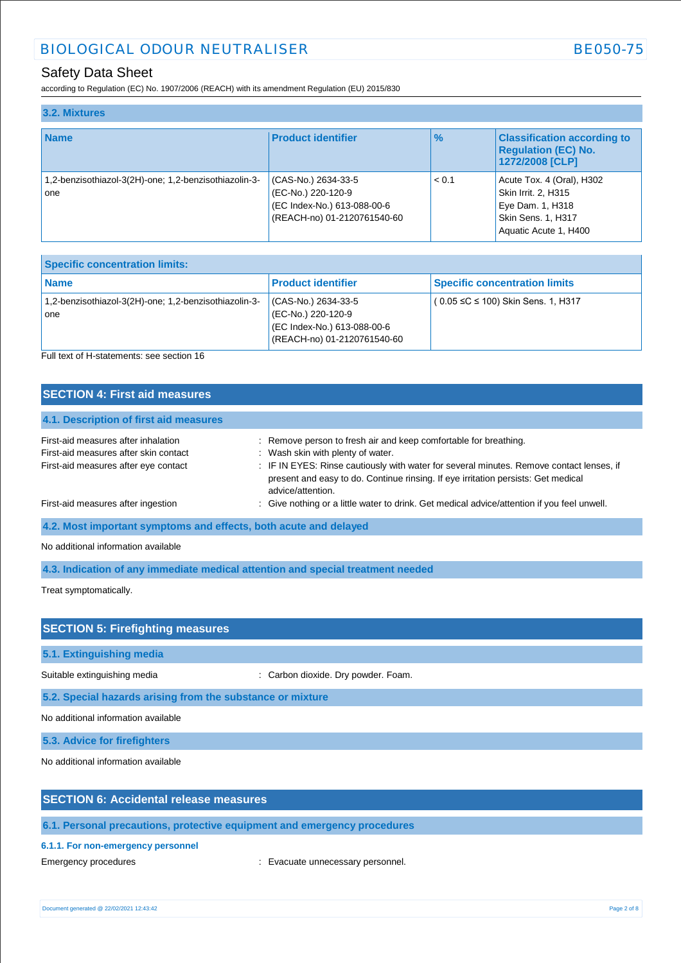# Safety Data Sheet

according to Regulation (EC) No. 1907/2006 (REACH) with its amendment Regulation (EU) 2015/830

| 3.2. Mixtures                                                |                                                                                                         |               |                                                                                                                            |
|--------------------------------------------------------------|---------------------------------------------------------------------------------------------------------|---------------|----------------------------------------------------------------------------------------------------------------------------|
| <b>Name</b>                                                  | <b>Product identifier</b>                                                                               | $\frac{9}{6}$ | <b>Classification according to</b><br><b>Regulation (EC) No.</b><br>1272/2008 [CLP]                                        |
| 1,2-benzisothiazol-3(2H)-one; 1,2-benzisothiazolin-3-<br>one | (CAS-No.) 2634-33-5<br>(EC-No.) 220-120-9<br>(EC Index-No.) 613-088-00-6<br>(REACH-no) 01-2120761540-60 | < 0.1         | Acute Tox. 4 (Oral), H302<br>Skin Irrit. 2, H315<br>Eye Dam. 1, H318<br><b>Skin Sens. 1, H317</b><br>Aquatic Acute 1, H400 |

| <b>Specific concentration limits:</b>                        |                                                                                                         |                                             |
|--------------------------------------------------------------|---------------------------------------------------------------------------------------------------------|---------------------------------------------|
| <b>Name</b>                                                  | <b>Product identifier</b>                                                                               | <b>Specific concentration limits</b>        |
| 1,2-benzisothiazol-3(2H)-one; 1,2-benzisothiazolin-3-<br>one | (CAS-No.) 2634-33-5<br>(EC-No.) 220-120-9<br>(EC Index-No.) 613-088-00-6<br>(REACH-no) 01-2120761540-60 | $(0.05 \leq C \leq 100)$ Skin Sens. 1, H317 |

Full text of H-statements: see section 16

| <b>SECTION 4: First aid measures</b>                             |                                                                                                                                                                                                    |
|------------------------------------------------------------------|----------------------------------------------------------------------------------------------------------------------------------------------------------------------------------------------------|
| 4.1. Description of first aid measures                           |                                                                                                                                                                                                    |
| First-aid measures after inhalation                              | : Remove person to fresh air and keep comfortable for breathing.                                                                                                                                   |
| First-aid measures after skin contact                            | : Wash skin with plenty of water.                                                                                                                                                                  |
| First-aid measures after eye contact                             | : IF IN EYES: Rinse cautiously with water for several minutes. Remove contact lenses, if<br>present and easy to do. Continue rinsing. If eye irritation persists: Get medical<br>advice/attention. |
| First-aid measures after ingestion                               | : Give nothing or a little water to drink. Get medical advice/attention if you feel unwell.                                                                                                        |
| 4.2. Most important symptoms and effects, both acute and delayed |                                                                                                                                                                                                    |

No additional information available

**4.3. Indication of any immediate medical attention and special treatment needed**

Treat symptomatically.

| <b>SECTION 5: Firefighting measures</b>                    |                                     |  |
|------------------------------------------------------------|-------------------------------------|--|
| 5.1. Extinguishing media                                   |                                     |  |
| Suitable extinguishing media                               | : Carbon dioxide. Dry powder. Foam. |  |
| 5.2. Special hazards arising from the substance or mixture |                                     |  |
| No additional information available                        |                                     |  |
| 5.3. Advice for firefighters                               |                                     |  |
| No additional information available                        |                                     |  |

# **SECTION 6: Accidental release measures**

**6.1. Personal precautions, protective equipment and emergency procedures**

# **6.1.1. For non-emergency personnel**

Emergency procedures **in the contract of the Contract Contract Evacuate unnecessary personnel.**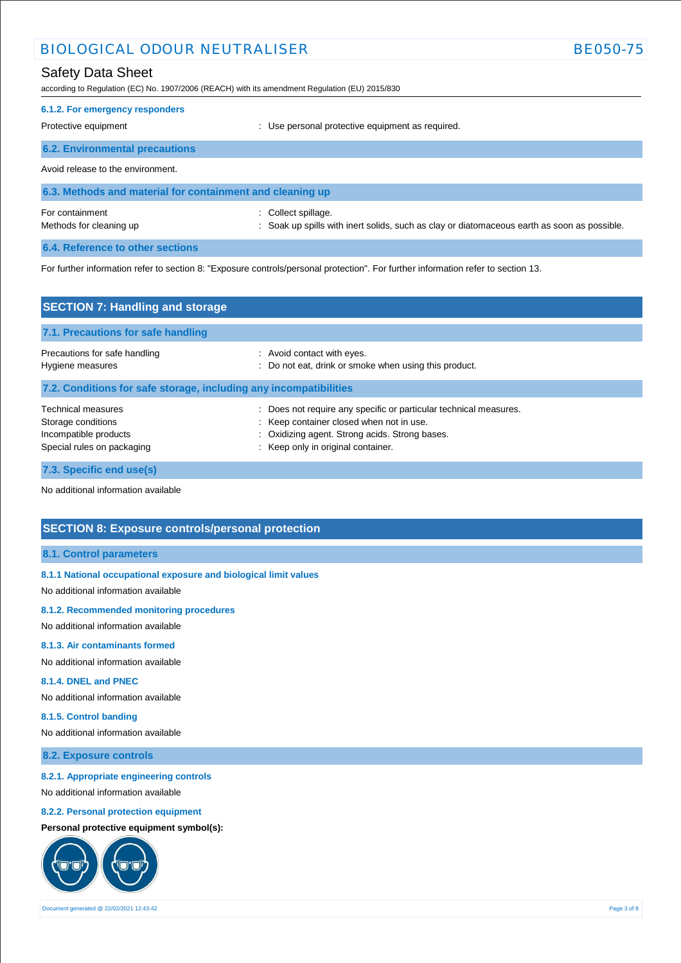# BIOLOGICAL ODOUR NEUTRALISER BE050-75

# Safety Data Sheet

according to Regulation (EC) No. 1907/2006 (REACH) with its amendment Regulation (EU) 2015/830

# **6.1.2. For emergency responders**  Protective equipment **Protective equipment** : Use personal protective equipment as required. **6.2. Environmental precautions**

Avoid release to the environment.

| 6.3. Methods and material for containment and cleaning up |                                                                                             |
|-----------------------------------------------------------|---------------------------------------------------------------------------------------------|
| For containment                                           | : Collect spillage.                                                                         |
| Methods for cleaning up                                   | : Soak up spills with inert solids, such as clay or diatomaceous earth as soon as possible. |

**6.4. Reference to other sections**

For further information refer to section 8: "Exposure controls/personal protection". For further information refer to section 13.

| <b>SECTION 7: Handling and storage</b>                                                                 |                                                                                                                                                                                                   |  |
|--------------------------------------------------------------------------------------------------------|---------------------------------------------------------------------------------------------------------------------------------------------------------------------------------------------------|--|
| 7.1. Precautions for safe handling                                                                     |                                                                                                                                                                                                   |  |
| Precautions for safe handling<br>Hygiene measures                                                      | : Avoid contact with eyes.<br>: Do not eat, drink or smoke when using this product.                                                                                                               |  |
| 7.2. Conditions for safe storage, including any incompatibilities                                      |                                                                                                                                                                                                   |  |
| <b>Technical measures</b><br>Storage conditions<br>Incompatible products<br>Special rules on packaging | Does not require any specific or particular technical measures.<br>: Keep container closed when not in use.<br>: Oxidizing agent. Strong acids. Strong bases.<br>Keep only in original container. |  |
| 7.3. Specific end use(s)                                                                               |                                                                                                                                                                                                   |  |

No additional information available

# **SECTION 8: Exposure controls/personal protection**

#### **8.1. Control parameters**

#### **8.1.1 National occupational exposure and biological limit values**

No additional information available

#### **8.1.2. Recommended monitoring procedures**

No additional information available

## **8.1.3. Air contaminants formed**

No additional information available

## **8.1.4. DNEL and PNEC**

No additional information available

#### **8.1.5. Control banding**

No additional information available

## **8.2. Exposure controls**

#### **8.2.1. Appropriate engineering controls**

No additional information available

### **8.2.2. Personal protection equipment**

**Personal protective equipment symbol(s):**

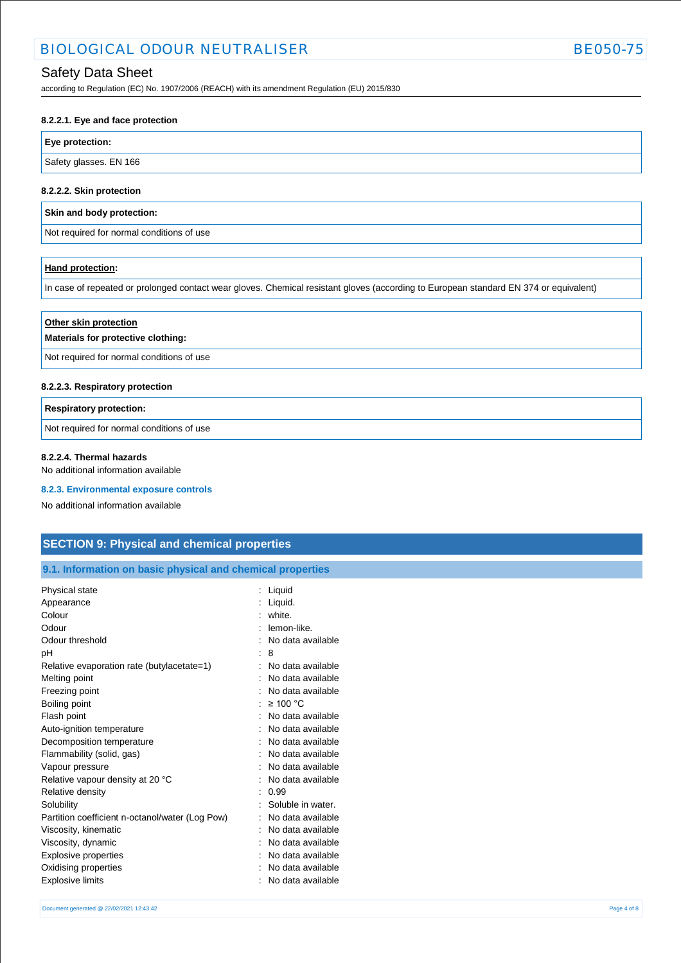# Safety Data Sheet

according to Regulation (EC) No. 1907/2006 (REACH) with its amendment Regulation (EU) 2015/830

#### **8.2.2.1. Eye and face protection**

### **Eye protection:**

Safety glasses. EN 166

#### **8.2.2.2. Skin protection**

## **Skin and body protection:**

Not required for normal conditions of use

## **Hand protection:**

In case of repeated or prolonged contact wear gloves. Chemical resistant gloves (according to European standard EN 374 or equivalent)

| Other skin protection<br>Materials for protective clothing: |
|-------------------------------------------------------------|
| Not required for normal conditions of use                   |
| 8.2.2.3. Respiratory protection                             |

# **Respiratory protection:** Not required for normal conditions of use

## **8.2.2.4. Thermal hazards**

No additional information available

#### **8.2.3. Environmental exposure controls**

No additional information available

# **SECTION 9: Physical and chemical properties**

### **9.1. Information on basic physical and chemical properties**

| Physical state                                  | Liquid            |
|-------------------------------------------------|-------------------|
| Appearance                                      | Liquid.           |
| Colour                                          | white.            |
| Odour                                           | lemon-like.       |
| Odour threshold                                 | No data available |
| рH                                              | 8                 |
| Relative evaporation rate (butylacetate=1)      | No data available |
| Melting point                                   | No data available |
| Freezing point                                  | No data available |
| Boiling point                                   | $\geq 100$ °C     |
| Flash point                                     | No data available |
| Auto-ignition temperature                       | No data available |
| Decomposition temperature                       | No data available |
| Flammability (solid, gas)                       | No data available |
| Vapour pressure                                 | No data available |
| Relative vapour density at 20 °C                | No data available |
| Relative density                                | 0.99              |
| Solubility                                      | Soluble in water. |
| Partition coefficient n-octanol/water (Log Pow) | No data available |
| Viscosity, kinematic                            | No data available |
| Viscosity, dynamic                              | No data available |
| <b>Explosive properties</b>                     | No data available |
| Oxidising properties                            | No data available |
| <b>Explosive limits</b>                         | No data available |
|                                                 |                   |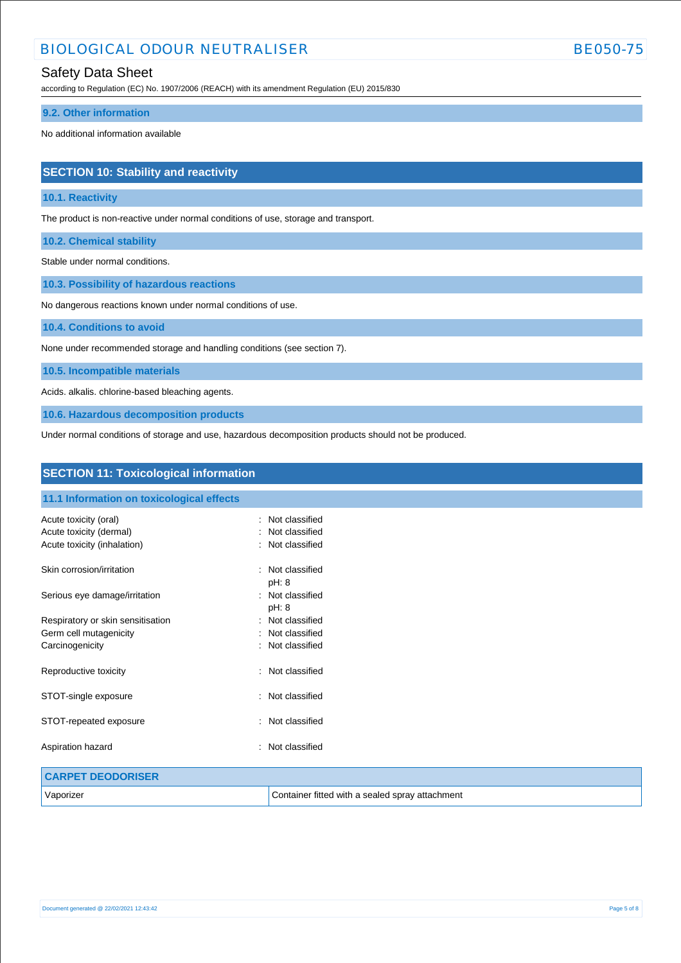# BIOLOGICAL ODOUR NEUTRALISER BE050-75

# Safety Data Sheet

according to Regulation (EC) No. 1907/2006 (REACH) with its amendment Regulation (EU) 2015/830

### **9.2. Other information**

No additional information available

# **SECTION 10: Stability and reactivity**

## **10.1. Reactivity**

The product is non-reactive under normal conditions of use, storage and transport.

**10.2. Chemical stability**

Stable under normal conditions.

**10.3. Possibility of hazardous reactions**

No dangerous reactions known under normal conditions of use.

**10.4. Conditions to avoid**

None under recommended storage and handling conditions (see section 7).

**10.5. Incompatible materials**

Acids. alkalis. chlorine-based bleaching agents.

**10.6. Hazardous decomposition products**

Under normal conditions of storage and use, hazardous decomposition products should not be produced.

| <b>SECTION 11: Toxicological information</b>           |                                                 |
|--------------------------------------------------------|-------------------------------------------------|
| 11.1 Information on toxicological effects              |                                                 |
| Acute toxicity (oral)                                  | Not classified<br>٠<br>Not classified           |
| Acute toxicity (dermal)<br>Acute toxicity (inhalation) | Not classified                                  |
| Skin corrosion/irritation                              | Not classified<br>٠<br>pH: 8                    |
| Serious eye damage/irritation                          | Not classified<br>÷<br>pH: 8                    |
| Respiratory or skin sensitisation                      | Not classified<br>٠                             |
| Germ cell mutagenicity                                 | Not classified                                  |
| Carcinogenicity                                        | Not classified                                  |
| Reproductive toxicity                                  | : Not classified                                |
| STOT-single exposure                                   | Not classified<br>÷                             |
| STOT-repeated exposure                                 | Not classified<br>÷                             |
| Aspiration hazard                                      | Not classified                                  |
| <b>CARPET DEODORISER</b>                               |                                                 |
| Vaporizer                                              | Container fitted with a sealed spray attachment |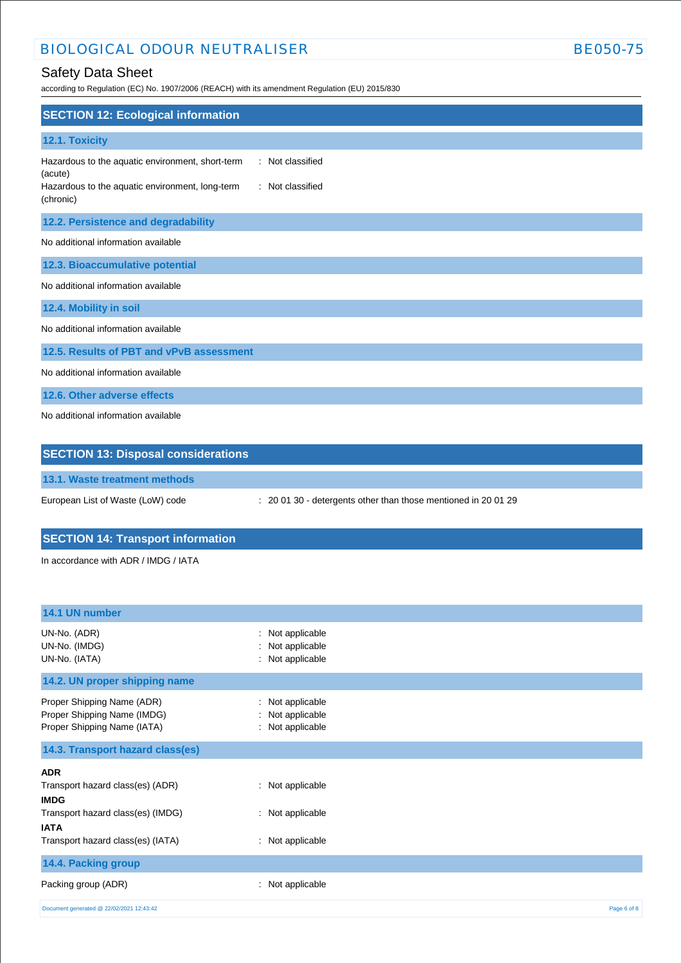# BIOLOGICAL ODOUR NEUTRALISER BE050-75

according to Regulation (EC) No. 1907/2006 (REACH) with its amendment Regulation (EU) 2015/830

| <b>SECTION 12: Ecological information</b>                                                                                                                           |
|---------------------------------------------------------------------------------------------------------------------------------------------------------------------|
| 12.1. Toxicity                                                                                                                                                      |
| : Not classified<br>Hazardous to the aquatic environment, short-term<br>(acute)<br>: Not classified<br>Hazardous to the aquatic environment, long-term<br>(chronic) |
| 12.2. Persistence and degradability                                                                                                                                 |
| No additional information available                                                                                                                                 |
| 12.3. Bioaccumulative potential                                                                                                                                     |
| No additional information available                                                                                                                                 |
| 12.4. Mobility in soil                                                                                                                                              |
| No additional information available                                                                                                                                 |
| 12.5. Results of PBT and vPvB assessment                                                                                                                            |
| No additional information available                                                                                                                                 |
| 12.6. Other adverse effects                                                                                                                                         |
| No additional information available                                                                                                                                 |
| <b>SECTION 13: Disposal considerations</b>                                                                                                                          |

**13.1. Waste treatment methods**

European List of Waste (LoW) code : 20 01 30 - detergents other than those mentioned in 20 01 29

# **SECTION 14: Transport information**

In accordance with ADR / IMDG / IATA

| 14.1 UN number                                                                           |                                                                  |             |
|------------------------------------------------------------------------------------------|------------------------------------------------------------------|-------------|
| UN-No. (ADR)<br>UN-No. (IMDG)<br>UN-No. (IATA)                                           | Not applicable<br>t.<br>Not applicable<br>÷.<br>: Not applicable |             |
| 14.2. UN proper shipping name                                                            |                                                                  |             |
| Proper Shipping Name (ADR)<br>Proper Shipping Name (IMDG)<br>Proper Shipping Name (IATA) | : Not applicable<br>: Not applicable<br>: Not applicable         |             |
| 14.3. Transport hazard class(es)                                                         |                                                                  |             |
| <b>ADR</b>                                                                               |                                                                  |             |
| Transport hazard class(es) (ADR)<br><b>IMDG</b>                                          | : Not applicable                                                 |             |
| Transport hazard class(es) (IMDG)<br><b>IATA</b>                                         | : Not applicable                                                 |             |
| Transport hazard class(es) (IATA)                                                        | : Not applicable                                                 |             |
| 14.4. Packing group                                                                      |                                                                  |             |
| Packing group (ADR)                                                                      | : Not applicable                                                 |             |
| Document generated @ 22/02/2021 12:43:42                                                 |                                                                  | Page 6 of 8 |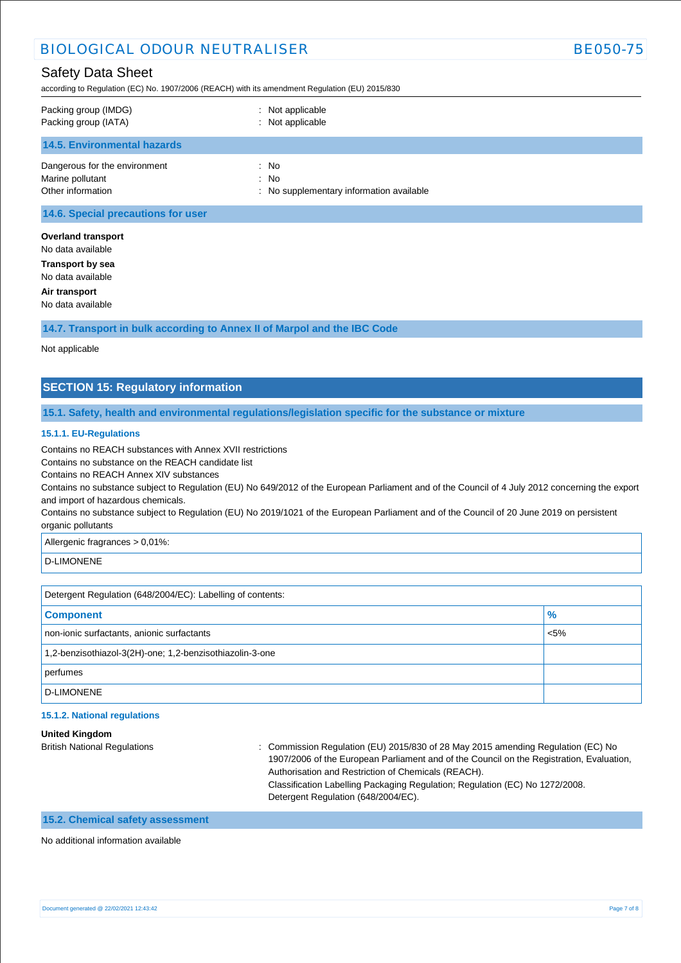according to Regulation (EC) No. 1907/2006 (REACH) with its amendment Regulation (EU) 2015/830

| Packing group (IMDG)<br>Packing group (IATA) | : Not applicable<br>: Not applicable     |
|----------------------------------------------|------------------------------------------|
| <b>14.5. Environmental hazards</b>           |                                          |
| Dangerous for the environment                | : No                                     |
| Marine pollutant                             | $:$ No                                   |
| Other information                            | : No supplementary information available |
| .                                            |                                          |

**14.6. Special precautions for user**

**Overland transport** No data available **Transport by sea** No data available **Air transport** No data available

**14.7. Transport in bulk according to Annex II of Marpol and the IBC Code**

Not applicable

# **SECTION 15: Regulatory information**

**15.1. Safety, health and environmental regulations/legislation specific for the substance or mixture**

### **15.1.1. EU-Regulations**

Contains no REACH substances with Annex XVII restrictions

Contains no substance on the REACH candidate list

Contains no REACH Annex XIV substances

Contains no substance subject to Regulation (EU) No 649/2012 of the European Parliament and of the Council of 4 July 2012 concerning the export and import of hazardous chemicals.

Contains no substance subject to Regulation (EU) No 2019/1021 of the European Parliament and of the Council of 20 June 2019 on persistent organic pollutants

Allergenic fragrances > 0,01%:

D-LIMONENE

Detergent Regulation (648/2004/EC): Labelling of contents:

| <b>Component</b>                                         | $\frac{9}{6}$ |
|----------------------------------------------------------|---------------|
| non-ionic surfactants, anionic surfactants               | $< 5\%$       |
| 1,2-benzisothiazol-3(2H)-one; 1,2-benzisothiazolin-3-one |               |
| perfumes                                                 |               |
| D-LIMONENE                                               |               |

#### **15.1.2. National regulations**

**United Kingdom**

British National Regulations : Commission Regulation (EU) 2015/830 of 28 May 2015 amending Regulation (EC) No 1907/2006 of the European Parliament and of the Council on the Registration, Evaluation, Authorisation and Restriction of Chemicals (REACH). Classification Labelling Packaging Regulation; Regulation (EC) No 1272/2008. Detergent Regulation (648/2004/EC).

# **15.2. Chemical safety assessment**

No additional information available